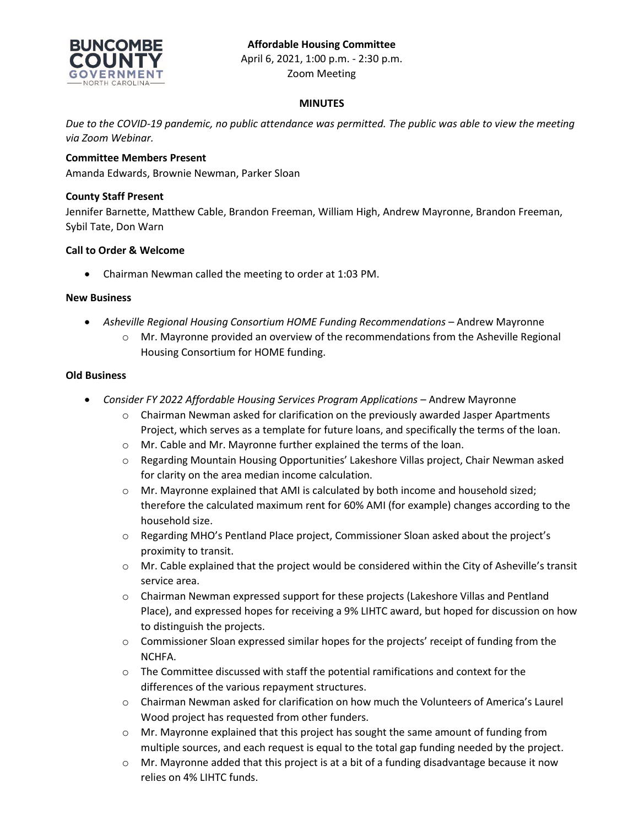## **Affordable Housing Committee**



April 6, 2021, 1:00 p.m. - 2:30 p.m. Zoom Meeting

## **MINUTES**

*Due to the COVID-19 pandemic, no public attendance was permitted. The public was able to view the meeting via Zoom Webinar.*

## **Committee Members Present**

Amanda Edwards, Brownie Newman, Parker Sloan

#### **County Staff Present**

Jennifer Barnette, Matthew Cable, Brandon Freeman, William High, Andrew Mayronne, Brandon Freeman, Sybil Tate, Don Warn

#### **Call to Order & Welcome**

Chairman Newman called the meeting to order at 1:03 PM.

#### **New Business**

- *Asheville Regional Housing Consortium HOME Funding Recommendations* Andrew Mayronne
	- o Mr. Mayronne provided an overview of the recommendations from the Asheville Regional Housing Consortium for HOME funding.

## **Old Business**

- *Consider FY 2022 Affordable Housing Services Program Applications* Andrew Mayronne
	- $\circ$  Chairman Newman asked for clarification on the previously awarded Jasper Apartments Project, which serves as a template for future loans, and specifically the terms of the loan.
	- o Mr. Cable and Mr. Mayronne further explained the terms of the loan.
	- o Regarding Mountain Housing Opportunities' Lakeshore Villas project, Chair Newman asked for clarity on the area median income calculation.
	- o Mr. Mayronne explained that AMI is calculated by both income and household sized; therefore the calculated maximum rent for 60% AMI (for example) changes according to the household size.
	- o Regarding MHO's Pentland Place project, Commissioner Sloan asked about the project's proximity to transit.
	- $\circ$  Mr. Cable explained that the project would be considered within the City of Asheville's transit service area.
	- o Chairman Newman expressed support for these projects (Lakeshore Villas and Pentland Place), and expressed hopes for receiving a 9% LIHTC award, but hoped for discussion on how to distinguish the projects.
	- o Commissioner Sloan expressed similar hopes for the projects' receipt of funding from the NCHFA.
	- $\circ$  The Committee discussed with staff the potential ramifications and context for the differences of the various repayment structures.
	- $\circ$  Chairman Newman asked for clarification on how much the Volunteers of America's Laurel Wood project has requested from other funders.
	- $\circ$  Mr. Mayronne explained that this project has sought the same amount of funding from multiple sources, and each request is equal to the total gap funding needed by the project.
	- $\circ$  Mr. Mayronne added that this project is at a bit of a funding disadvantage because it now relies on 4% LIHTC funds.